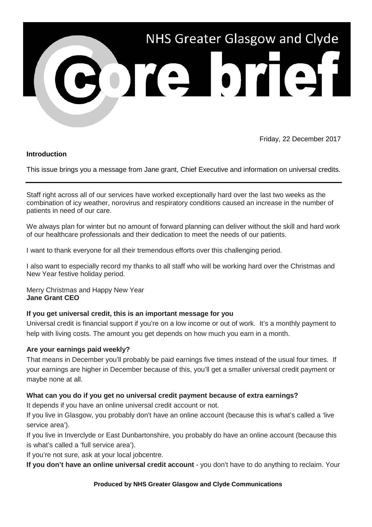

Friday, 22 December 2017

## **Introduction**

This issue brings you a message from Jane grant, Chief Executive and information on universal credits.

Staff right across all of our services have worked exceptionally hard over the last two weeks as the combination of icy weather, norovirus and respiratory conditions caused an increase in the number of patients in need of our care.

We always plan for winter but no amount of forward planning can deliver without the skill and hard work of our healthcare professionals and their dedication to meet the needs of our patients.

I want to thank everyone for all their tremendous efforts over this challenging period.

I also want to especially record my thanks to all staff who will be working hard over the Christmas and New Year festive holiday period.

Merry Christmas and Happy New Year **Jane Grant CEO**

## **If you get universal credit, this is an important message for you**

Universal credit is financial support if you're on a low income or out of work. It's a monthly payment to help with living costs. The amount you get depends on how much you earn in a month.

## **Are your earnings paid weekly?**

That means in December you'll probably be paid earnings five times instead of the usual four times. If your earnings are higher in December because of this, you'll get a smaller universal credit payment or maybe none at all.

## **What can you do if you get no universal credit payment because of extra earnings?**

It depends if you have an online universal credit account or not.

If you live in Glasgow, you probably don't have an online account (because this is what's called a 'live service area').

If you live in Inverclyde or East Dunbartonshire, you probably do have an online account (because this is what's called a 'full service area').

If you're not sure, ask at your local jobcentre.

**If you don't have an online universal credit account** - you don't have to do anything to reclaim. Your

## **Produced by NHS Greater Glasgow and Clyde Communications**